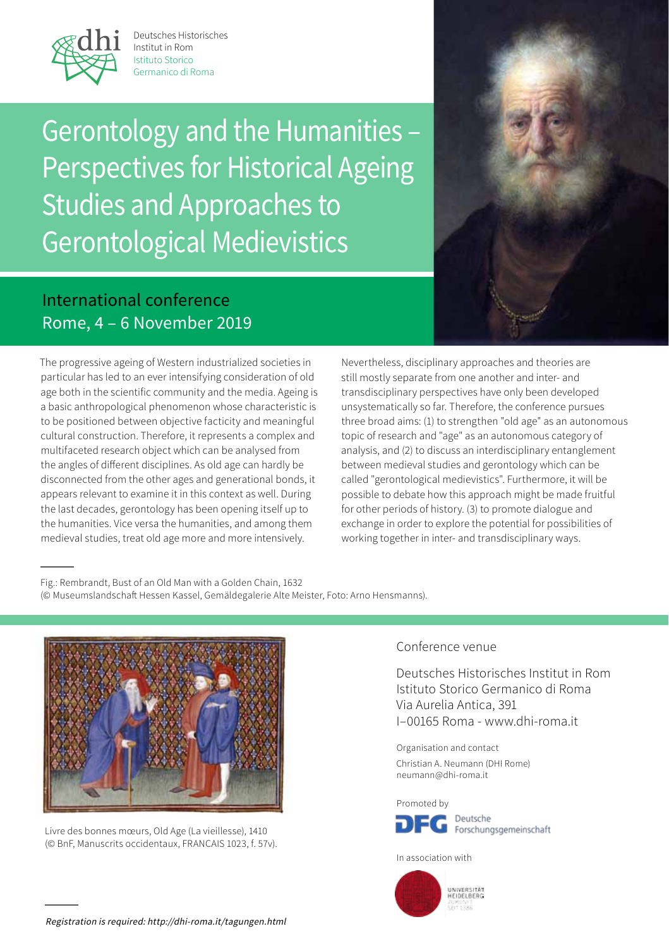

Deutsches Historisches Institut in Rom Istituto Storico Germanico di Roma

Gerontology and the Humanities – Perspectives for Historical Ageing Studies and Approaches to Gerontological Medievistics IN.  $\overline{O}$  .



## International conference Rome, 4 – 6 November 2019  $\sim$

The progressive ageing of Western industrialized societies in particular has led to an ever intensifying consideration of old age both in the scientific community and the media. Ageing is a basic anthropological phenomenon whose characteristic is to be positioned between objective facticity and meaningful cultural construction. Therefore, it represents a complex and multifaceted research object which can be analysed from the angles of different disciplines. As old age can hardly be disconnected from the other ages and generational bonds, it appears relevant to examine it in this context as well. During the last decades, gerontology has been opening itself up to the humanities. Vice versa the humanities, and among them medieval studies, treat old age more and more intensively.

Nevertheless, disciplinary approaches and theories are still mostly separate from one another and inter- and transdisciplinary perspectives have only been developed unsystematically so far. Therefore, the conference pursues three broad aims: (1) to strengthen "old age" as an autonomous topic of research and "age" as an autonomous category of analysis, and (2) to discuss an interdisciplinary entanglement between medieval studies and gerontology which can be called "gerontological medievistics". Furthermore, it will be possible to debate how this approach might be made fruitful for other periods of history. (3) to promote dialogue and exchange in order to explore the potential for possibilities of working together in inter- and transdisciplinary ways.

Fig.: Rembrandt, Bust of an Old Man with a Golden Chain, 1632 (© Museumslandschaft Hessen Kassel, Gemäldegalerie Alte Meister, Foto: Arno Hensmanns).



Livre des bonnes mœurs, Old Age (La vieillesse), 1410 (© BnF, Manuscrits occidentaux, FRANCAIS 1023, f. 57v).

## Conference venue

Deutsches Historisches Institut in Rom Istituto Storico Germanico di Roma Via Aurelia Antica, 391 I–00165 Roma - www.dhi-roma.it

Organisation and contact Christian A. Neumann (DHI Rome) neumann@dhi-roma.it

Promoted by



In association with